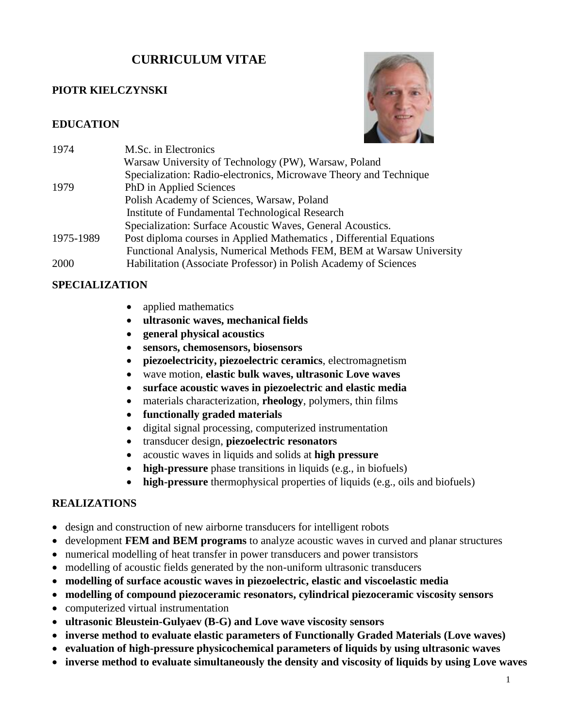# **CURRICULUM VITAE**

#### **PIOTR KIELCZYNSKI**

#### **EDUCATION**



| 1974      | M.Sc. in Electronics                                                 |
|-----------|----------------------------------------------------------------------|
|           | Warsaw University of Technology (PW), Warsaw, Poland                 |
|           | Specialization: Radio-electronics, Microwave Theory and Technique    |
| 1979      | PhD in Applied Sciences                                              |
|           | Polish Academy of Sciences, Warsaw, Poland                           |
|           | Institute of Fundamental Technological Research                      |
|           | Specialization: Surface Acoustic Waves, General Acoustics.           |
| 1975-1989 | Post diploma courses in Applied Mathematics, Differential Equations  |
|           | Functional Analysis, Numerical Methods FEM, BEM at Warsaw University |
| 2000      | Habilitation (Associate Professor) in Polish Academy of Sciences     |

#### **SPECIALIZATION**

- applied mathematics
- **ultrasonic waves, mechanical fields**
- **general physical acoustics**
- **sensors, chemosensors, biosensors**
- **piezoelectricity, piezoelectric ceramics**, electromagnetism
- wave motion, **elastic bulk waves, ultrasonic Love waves**
- **surface acoustic waves in piezoelectric and elastic media**
- materials characterization, **rheology**, polymers, thin films
- **functionally graded materials**
- digital signal processing, computerized instrumentation
- transducer design, **piezoelectric resonators**
- acoustic waves in liquids and solids at **high pressure**
- **high-pressure** phase transitions in liquids (e.g., in biofuels)
- **high-pressure** thermophysical properties of liquids (e.g., oils and biofuels)

#### **REALIZATIONS**

- design and construction of new airborne transducers for intelligent robots
- development **FEM and BEM programs** to analyze acoustic waves in curved and planar structures
- numerical modelling of heat transfer in power transducers and power transistors
- modelling of acoustic fields generated by the non-uniform ultrasonic transducers
- **modelling of surface acoustic waves in piezoelectric, elastic and viscoelastic media**
- **modelling of compound piezoceramic resonators, cylindrical piezoceramic viscosity sensors**
- computerized virtual instrumentation
- **ultrasonic Bleustein-Gulyaev (B-G) and Love wave viscosity sensors**
- **inverse method to evaluate elastic parameters of Functionally Graded Materials (Love waves)**
- **evaluation of high-pressure physicochemical parameters of liquids by using ultrasonic waves**
- **inverse method to evaluate simultaneously the density and viscosity of liquids by using Love waves**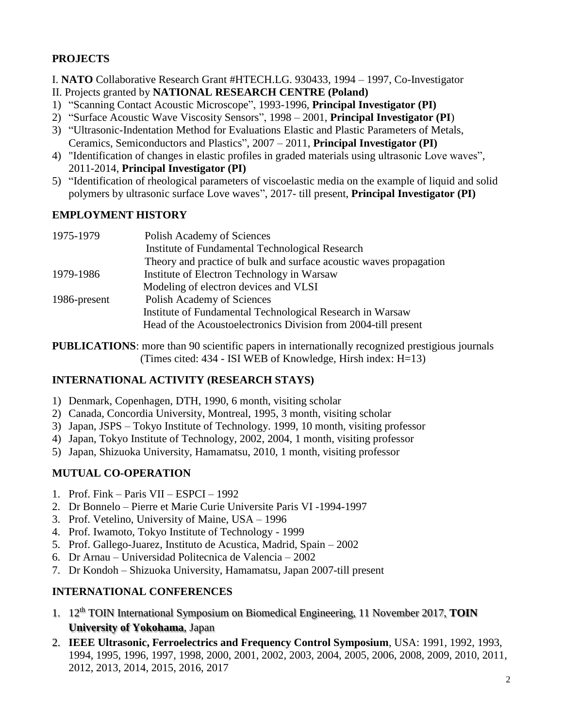# **PROJECTS**

I. **NATO** Collaborative Research Grant #HTECH.LG. 930433, 1994 – 1997, Co-Investigator

- II. Projects granted by **NATIONAL RESEARCH CENTRE (Poland)**
- 1) "Scanning Contact Acoustic Microscope", 1993-1996, **Principal Investigator (PI)**
- 2) "Surface Acoustic Wave Viscosity Sensors", 1998 2001, **Principal Investigator (PI**)
- 3) "Ultrasonic-Indentation Method for Evaluations Elastic and Plastic Parameters of Metals, Ceramics, Semiconductors and Plastics", 2007 – 2011, **Principal Investigator (PI)**
- 4) "Identification of changes in elastic profiles in graded materials using ultrasonic Love waves", 2011-2014, **Principal Investigator (PI)**
- 5) "Identification of rheological parameters of viscoelastic media on the example of liquid and solid polymers by ultrasonic surface Love waves", 2017- till present, **Principal Investigator (PI)**

#### **EMPLOYMENT HISTORY**

| 1975-1979    | Polish Academy of Sciences                                         |
|--------------|--------------------------------------------------------------------|
|              | Institute of Fundamental Technological Research                    |
|              | Theory and practice of bulk and surface acoustic waves propagation |
| 1979-1986    | Institute of Electron Technology in Warsaw                         |
|              | Modeling of electron devices and VLSI                              |
| 1986-present | Polish Academy of Sciences                                         |
|              | Institute of Fundamental Technological Research in Warsaw          |
|              | Head of the Acoustoelectronics Division from 2004-till present     |

**PUBLICATIONS**: more than 90 scientific papers in internationally recognized prestigious journals (Times cited: 434 - ISI WEB of Knowledge, Hirsh index: H=13)

# **INTERNATIONAL ACTIVITY (RESEARCH STAYS)**

- 1) Denmark, Copenhagen, DTH, 1990, 6 month, visiting scholar
- 2) Canada, Concordia University, Montreal, 1995, 3 month, visiting scholar
- 3) Japan, JSPS Tokyo Institute of Technology. 1999, 10 month, visiting professor
- 4) Japan, Tokyo Institute of Technology, 2002, 2004, 1 month, visiting professor
- 5) Japan, Shizuoka University, Hamamatsu, 2010, 1 month, visiting professor

# **MUTUAL CO-OPERATION**

- 1. Prof. Fink Paris VII ESPCI 1992
- 2. Dr Bonnelo Pierre et Marie Curie Universite Paris VI -1994-1997
- 3. Prof. Vetelino, University of Maine, USA 1996
- 4. Prof. Iwamoto, Tokyo Institute of Technology 1999
- 5. Prof. Gallego-Juarez, Instituto de Acustica, Madrid, Spain 2002
- 6. Dr Arnau Universidad Politecnica de Valencia 2002
- 7. Dr Kondoh Shizuoka University, Hamamatsu, Japan 2007-till present

# **INTERNATIONAL CONFERENCES**

- 1. 12th TOIN International Symposium on Biomedical Engineering, 11 November 2017, **TOIN University of Yokohama**, Japan
- 2. **IEEE Ultrasonic, Ferroelectrics and Frequency Control Symposium**, USA: 1991, 1992, 1993, 1994, 1995, 1996, 1997, 1998, 2000, 2001, 2002, 2003, 2004, 2005, 2006, 2008, 2009, 2010, 2011, 2012, 2013, 2014, 2015, 2016, 2017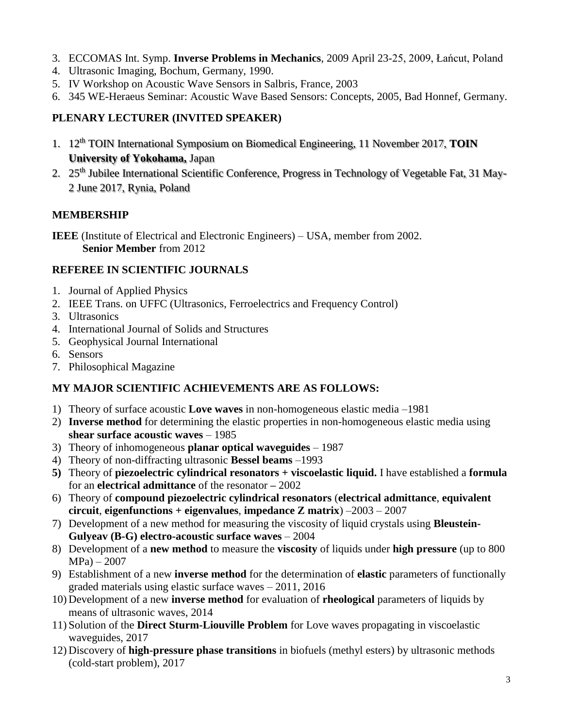- 3. ECCOMAS Int. Symp. **Inverse Problems in Mechanics**, 2009 April 23-25, 2009, Łańcut, Poland
- 4. Ultrasonic Imaging, Bochum, Germany, 1990.
- 5. IV Workshop on Acoustic Wave Sensors in Salbris, France, 2003
- 6. 345 WE-Heraeus Seminar: Acoustic Wave Based Sensors: Concepts, 2005, Bad Honnef, Germany.

# **PLENARY LECTURER (INVITED SPEAKER)**

- 1. 12th TOIN International Symposium on Biomedical Engineering, 11 November 2017, **TOIN University of Yokohama,** Japan
- 2. 25<sup>th</sup> Jubilee International Scientific Conference, Progress in Technology of Vegetable Fat, 31 May-2 June 2017, Rynia, Poland

# **MEMBERSHIP**

**IEEE** (Institute of Electrical and Electronic Engineers) – USA, member from 2002. **Senior Member** from 2012

#### **REFEREE IN SCIENTIFIC JOURNALS**

- 1. Journal of Applied Physics
- 2. IEEE Trans. on UFFC (Ultrasonics, Ferroelectrics and Frequency Control)
- 3. Ultrasonics
- 4. International Journal of Solids and Structures
- 5. Geophysical Journal International
- 6. Sensors
- 7. Philosophical Magazine

# **MY MAJOR SCIENTIFIC ACHIEVEMENTS ARE AS FOLLOWS:**

- 1) Theory of surface acoustic **Love waves** in non-homogeneous elastic media –1981
- 2) **Inverse method** for determining the elastic properties in non-homogeneous elastic media using **shear surface acoustic waves** – 1985
- 3) Theory of inhomogeneous **planar optical waveguides** 1987
- 4) Theory of non-diffracting ultrasonic **Bessel beams** –1993
- **5)** Theory of **piezoelectric cylindrical resonators + viscoelastic liquid.** I have established a **formula**  for an **electrical admittance** of the resonator **–** 2002
- 6) Theory of **compound piezoelectric cylindrical resonators** (**electrical admittance**, **equivalent circuit**, **eigenfunctions + eigenvalues**, **impedance Z matrix**) –2003 – 2007
- 7) Development of a new method for measuring the viscosity of liquid crystals using **Bleustein-Gulyeav (B-G) electro-acoustic surface waves** – 2004
- 8) Development of a **new method** to measure the **viscosity** of liquids under **high pressure** (up to 800 MPa) – 2007
- 9) Establishment of a new **inverse method** for the determination of **elastic** parameters of functionally graded materials using elastic surface waves – 2011, 2016
- 10) Development of a new **inverse method** for evaluation of **rheological** parameters of liquids by means of ultrasonic waves, 2014
- 11) Solution of the **Direct Sturm-Liouville Problem** for Love waves propagating in viscoelastic waveguides, 2017
- 12) Discovery of **high-pressure phase transitions** in biofuels (methyl esters) by ultrasonic methods (cold-start problem), 2017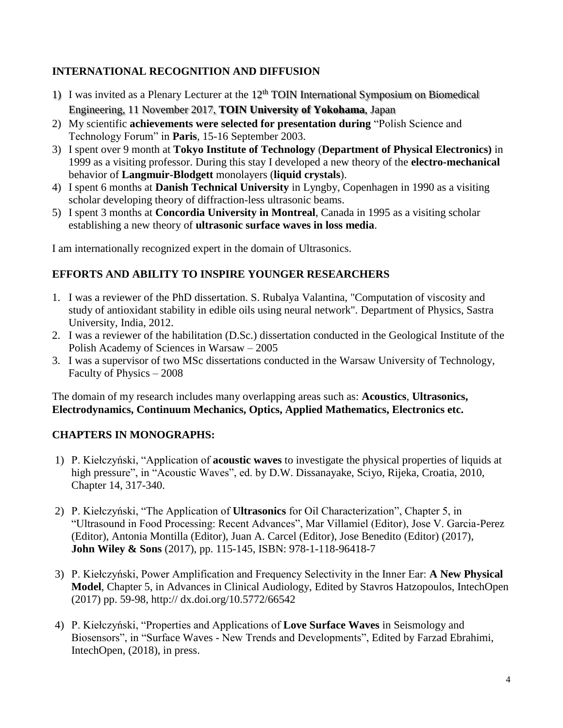# **INTERNATIONAL RECOGNITION AND DIFFUSION**

- 1) I was invited as a Plenary Lecturer at the  $12<sup>th</sup>$  TOIN International Symposium on Biomedical Engineering, 11 November 2017, **TOIN University of Yokohama**, Japan
- 2) My scientific **achievements were selected for presentation during** "Polish Science and Technology Forum" in **Paris**, 15-16 September 2003.
- 3) I spent over 9 month at **Tokyo Institute of Technology** (**Department of Physical Electronics)** in 1999 as a visiting professor. During this stay I developed a new theory of the **electro-mechanical** behavior of **Langmuir-Blodgett** monolayers (**liquid crystals**).
- 4) I spent 6 months at **Danish Technical University** in Lyngby, Copenhagen in 1990 as a visiting scholar developing theory of diffraction-less ultrasonic beams.
- 5) I spent 3 months at **Concordia University in Montreal**, Canada in 1995 as a visiting scholar establishing a new theory of **ultrasonic surface waves in loss media**.

I am internationally recognized expert in the domain of Ultrasonics.

# **EFFORTS AND ABILITY TO INSPIRE YOUNGER RESEARCHERS**

- 1. I was a reviewer of the PhD dissertation. S. Rubalya Valantina, "Computation of viscosity and study of antioxidant stability in edible oils using neural network". Department of Physics, Sastra University, India, 2012.
- 2. I was a reviewer of the habilitation (D.Sc.) dissertation conducted in the Geological Institute of the Polish Academy of Sciences in Warsaw – 2005
- 3. I was a supervisor of two MSc dissertations conducted in the Warsaw University of Technology, Faculty of Physics – 2008

The domain of my research includes many overlapping areas such as: **Acoustics**, **Ultrasonics, Electrodynamics, Continuum Mechanics, Optics, Applied Mathematics, Electronics etc.** 

# **CHAPTERS IN MONOGRAPHS:**

- 1) P. Kiełczyński, "Application of **acoustic waves** to investigate the physical properties of liquids at high pressure", in "Acoustic Waves", ed. by D.W. Dissanayake, Sciyo, Rijeka, Croatia, 2010, Chapter 14, 317-340.
- 2) P. Kiełczyński, "The Application of **Ultrasonics** for Oil Characterization", Chapter 5, in "Ultrasound in Food Processing: Recent Advances", Mar Villamiel (Editor), Jose V. Garcia-Perez (Editor), Antonia Montilla (Editor), Juan A. Carcel (Editor), Jose Benedito (Editor) (2017), **John Wiley & Sons** (2017), pp. 115-145, ISBN: 978-1-118-96418-7
- 3) P. Kiełczyński, Power Amplification and Frequency Selectivity in the Inner Ear: **A New Physical Model**, Chapter 5, in Advances in Clinical Audiology, Edited by Stavros Hatzopoulos, IntechOpen (2017) pp. 59-98, http:// dx.doi.org/10.5772/66542
- 4) P. Kiełczyński, "Properties and Applications of **Love Surface Waves** in Seismology and Biosensors", in "Surface Waves - New Trends and Developments", Edited by Farzad Ebrahimi, IntechOpen, (2018), in press.